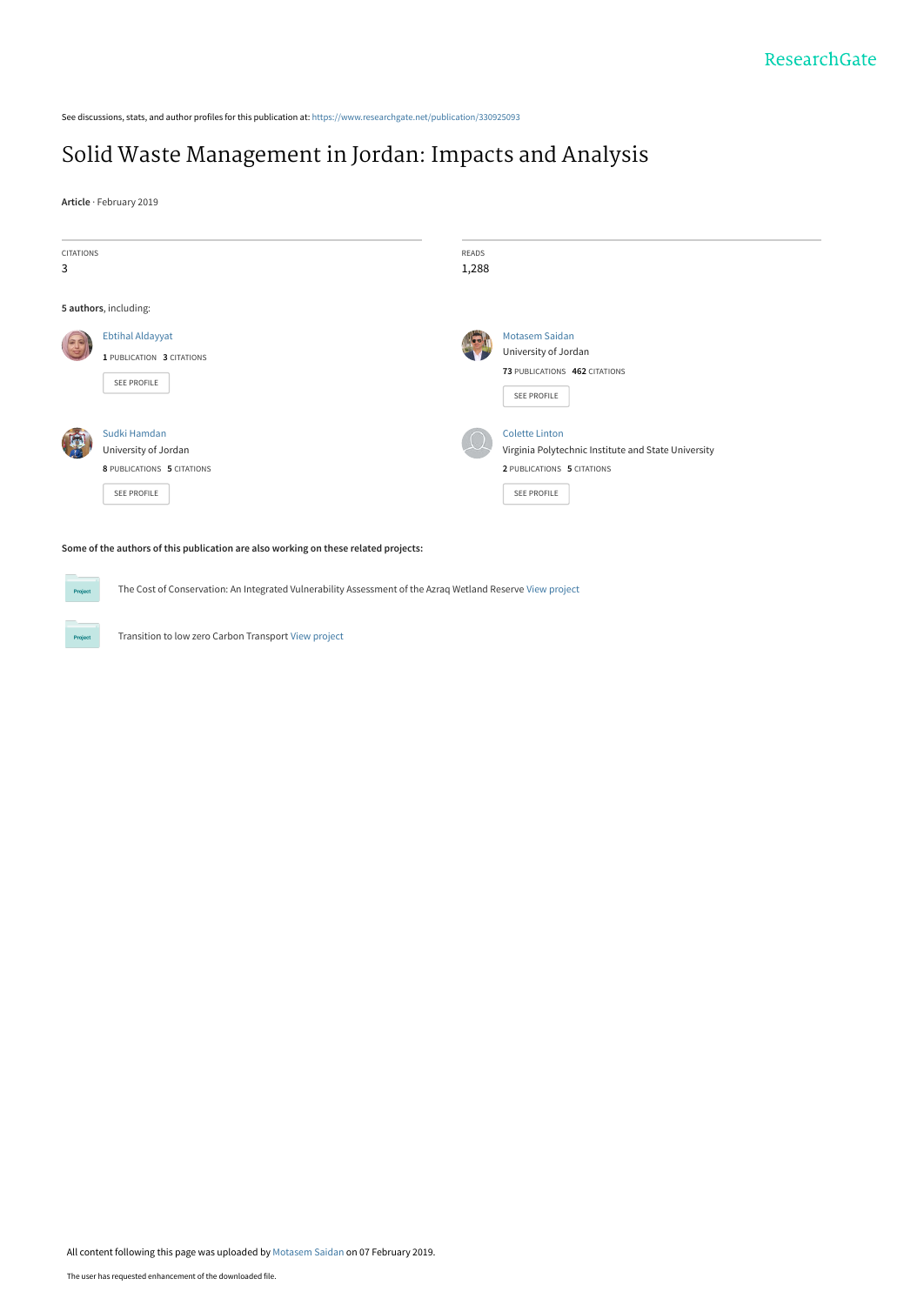See discussions, stats, and author profiles for this publication at: [https://www.researchgate.net/publication/330925093](https://www.researchgate.net/publication/330925093_Solid_Waste_Management_in_Jordan_Impacts_and_Analysis?enrichId=rgreq-9567c5677347290e62838f27b7d32d4d-XXX&enrichSource=Y292ZXJQYWdlOzMzMDkyNTA5MztBUzo3MjM1NjgxMzIzNzA0MzZAMTU0OTUyMzQ5NDg0Nw%3D%3D&el=1_x_2&_esc=publicationCoverPdf)

# [Solid Waste Management in Jordan: Impacts and Analysis](https://www.researchgate.net/publication/330925093_Solid_Waste_Management_in_Jordan_Impacts_and_Analysis?enrichId=rgreq-9567c5677347290e62838f27b7d32d4d-XXX&enrichSource=Y292ZXJQYWdlOzMzMDkyNTA5MztBUzo3MjM1NjgxMzIzNzA0MzZAMTU0OTUyMzQ5NDg0Nw%3D%3D&el=1_x_3&_esc=publicationCoverPdf)

**Article** · February 2019

 $P_{\text{ro}}$ 

Project

| <b>CITATIONS</b><br>3 |                            | READS<br>1,288 |                                                     |
|-----------------------|----------------------------|----------------|-----------------------------------------------------|
|                       |                            |                |                                                     |
|                       | 5 authors, including:      |                |                                                     |
| $\sqrt{\frac{2}{3}}$  | <b>Ebtihal Aldayyat</b>    |                | <b>Motasem Saidan</b>                               |
|                       | 1 PUBLICATION 3 CITATIONS  |                | University of Jordan                                |
|                       |                            |                | 73 PUBLICATIONS 462 CITATIONS                       |
|                       | SEE PROFILE                |                | SEE PROFILE                                         |
|                       |                            |                |                                                     |
| 同                     | Sudki Hamdan               |                | <b>Colette Linton</b>                               |
|                       | University of Jordan       |                | Virginia Polytechnic Institute and State University |
|                       | 8 PUBLICATIONS 5 CITATIONS |                | 2 PUBLICATIONS 5 CITATIONS                          |
|                       | SEE PROFILE                |                | SEE PROFILE                                         |
|                       |                            |                |                                                     |

**Some of the authors of this publication are also working on these related projects:**

The Cost of Conservation: An Integrated Vulnerability Assessment of the Azraq Wetland Reserve [View project](https://www.researchgate.net/project/The-Cost-of-Conservation-An-Integrated-Vulnerability-Assessment-of-the-Azraq-Wetland-Reserve?enrichId=rgreq-9567c5677347290e62838f27b7d32d4d-XXX&enrichSource=Y292ZXJQYWdlOzMzMDkyNTA5MztBUzo3MjM1NjgxMzIzNzA0MzZAMTU0OTUyMzQ5NDg0Nw%3D%3D&el=1_x_9&_esc=publicationCoverPdf)

Transition to low zero Carbon Transport [View project](https://www.researchgate.net/project/Transition-to-low-zero-Carbon-Transport?enrichId=rgreq-9567c5677347290e62838f27b7d32d4d-XXX&enrichSource=Y292ZXJQYWdlOzMzMDkyNTA5MztBUzo3MjM1NjgxMzIzNzA0MzZAMTU0OTUyMzQ5NDg0Nw%3D%3D&el=1_x_9&_esc=publicationCoverPdf)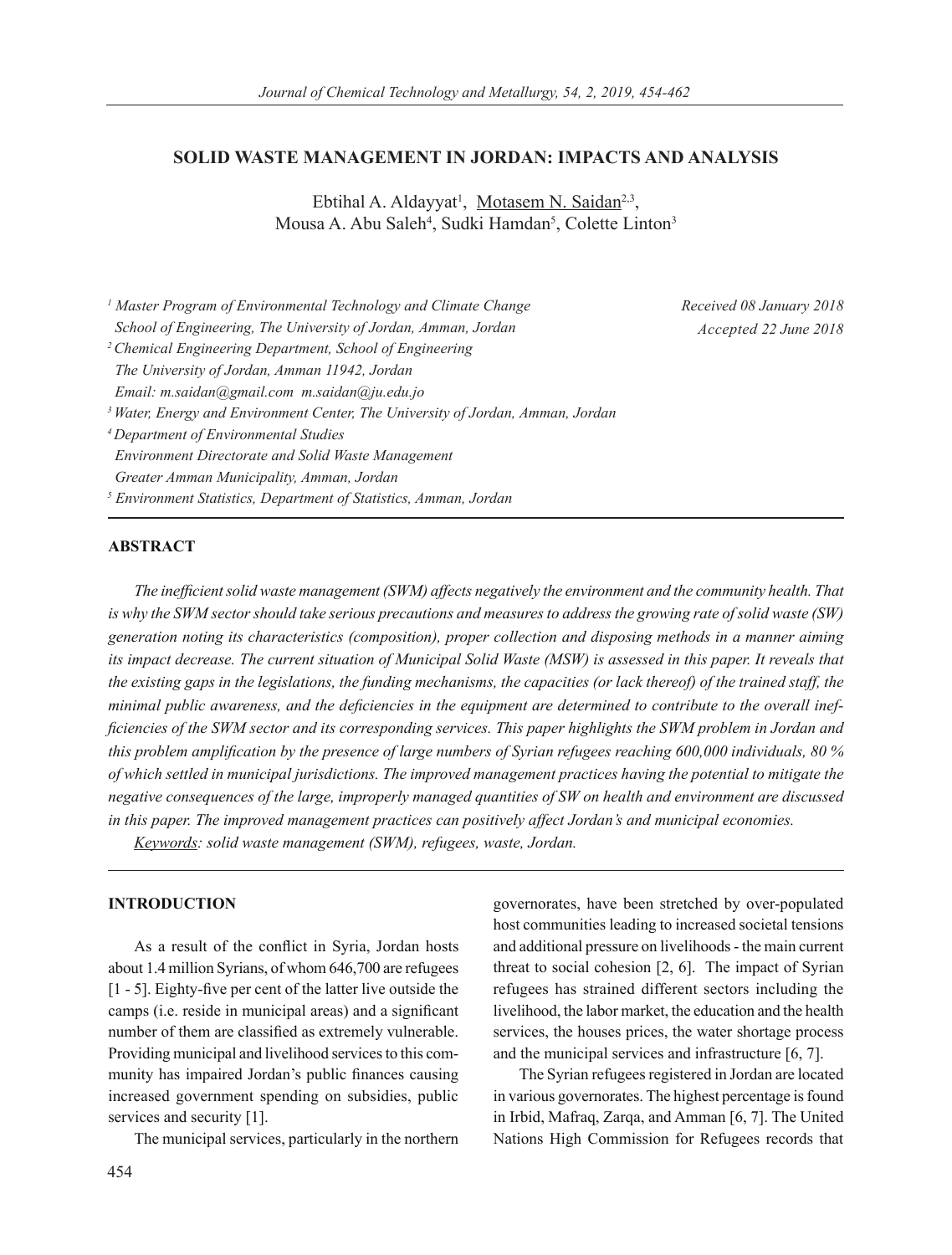# **SOLID WASTE MANAGEMENT IN JORDAN: IMPACTS AND ANALYSIS**

Ebtihal A. Aldayyat<sup>1</sup>, Motasem N. Saidan<sup>2,3</sup>, Mousa A. Abu Saleh<sup>4</sup>, Sudki Hamdan<sup>5</sup>, Colette Linton<sup>3</sup>

| <sup>1</sup> Master Program of Environmental Technology and Climate Change                 |
|--------------------------------------------------------------------------------------------|
| School of Engineering, The University of Jordan, Amman, Jordan                             |
| <sup>2</sup> Chemical Engineering Department, School of Engineering                        |
| The University of Jordan, Amman 11942, Jordan                                              |
| Email: m.saidan@gmail.com m.saidan@ju.edu.jo                                               |
| <sup>3</sup> Water, Energy and Environment Center, The University of Jordan, Amman, Jordan |
| <sup>4</sup> Department of Environmental Studies                                           |
| <b>Environment Directorate and Solid Waste Management</b>                                  |
| Greater Amman Municipality, Amman, Jordan                                                  |
| <sup>5</sup> Environment Statistics, Department of Statistics, Amman, Jordan               |

*Received 08 January 2018 Accepted 22 June 2018*

# **ABSTRACT**

*The inefficient solid waste management (SWM) affects negatively the environment and the community health. That is why the SWM sector should take serious precautions and measures to address the growing rate of solid waste (SW) generation noting its characteristics (composition), proper collection and disposing methods in a manner aiming its impact decrease. The current situation of Municipal Solid Waste (MSW) is assessed in this paper. It reveals that the existing gaps in the legislations, the funding mechanisms, the capacities (or lack thereof) of the trained staff, the minimal public awareness, and the deficiencies in the equipment are determined to contribute to the overall inefficiencies of the SWM sector and its corresponding services. This paper highlights the SWM problem in Jordan and this problem amplification by the presence of large numbers of Syrian refugees reaching 600,000 individuals, 80 % of which settled in municipal jurisdictions. The improved management practices having the potential to mitigate the negative consequences of the large, improperly managed quantities of SW on health and environment are discussed in this paper. The improved management practices can positively affect Jordan's and municipal economies.* 

*Keywords: solid waste management (SWM), refugees, waste, Jordan.*

#### **INTRODUCTION**

As a result of the conflict in Syria, Jordan hosts about 1.4 million Syrians, of whom 646,700 are refugees [1 - 5]. Eighty-five per cent of the latter live outside the camps (i.e. reside in municipal areas) and a significant number of them are classified as extremely vulnerable. Providing municipal and livelihood services to this community has impaired Jordan's public finances causing increased government spending on subsidies, public services and security [1].

The municipal services, particularly in the northern

governorates, have been stretched by over-populated host communities leading to increased societal tensions and additional pressure on livelihoods - the main current threat to social cohesion [2, 6]. The impact of Syrian refugees has strained different sectors including the livelihood, the labor market, the education and the health services, the houses prices, the water shortage process and the municipal services and infrastructure [6, 7].

The Syrian refugees registered in Jordan are located in various governorates. The highest percentage is found in Irbid, Mafraq, Zarqa, and Amman [6, 7]. The United Nations High Commission for Refugees records that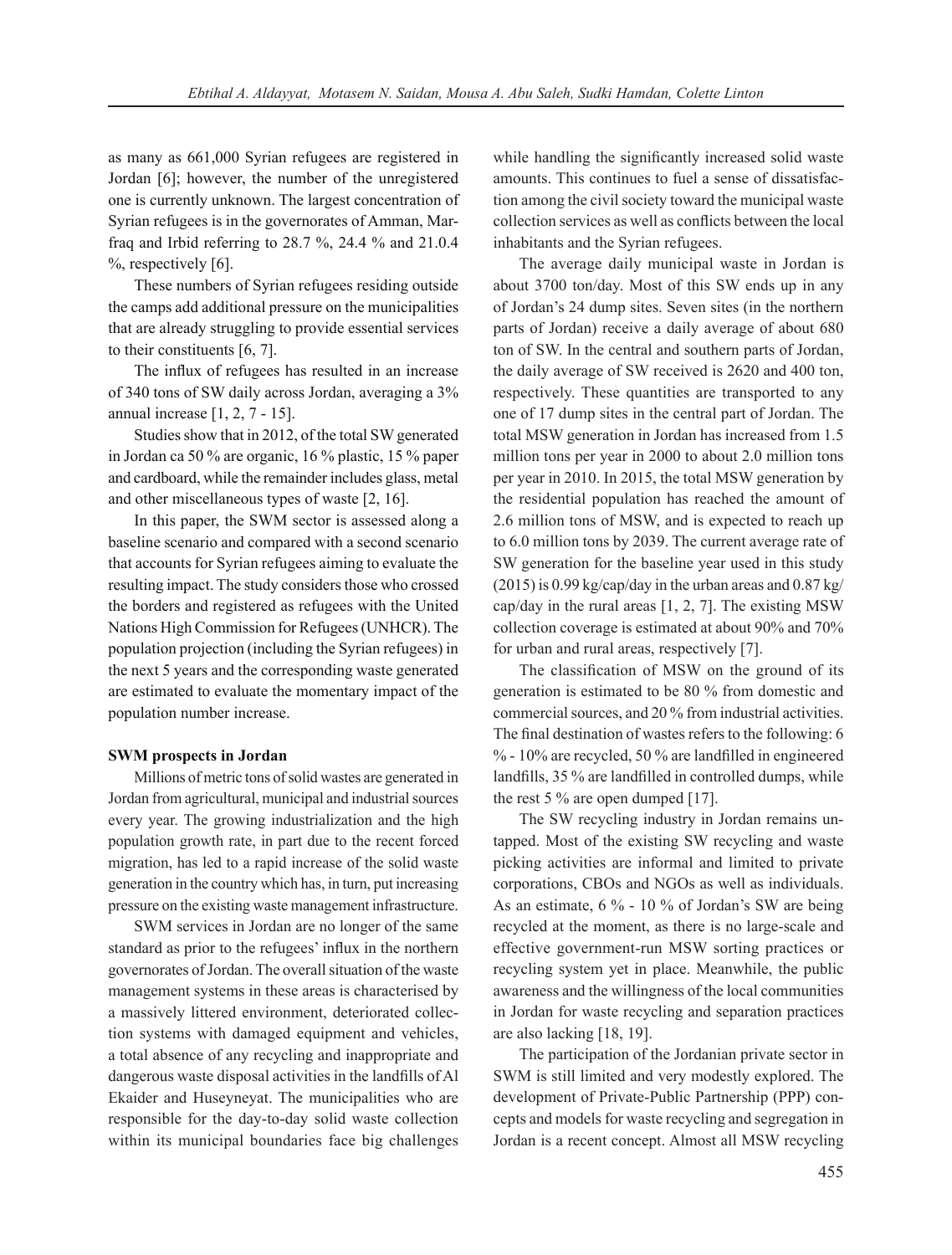as many as 661,000 Syrian refugees are registered in Jordan [6]; however, the number of the unregistered one is currently unknown. The largest concentration of Syrian refugees is in the governorates of Amman, Marfraq and Irbid referring to 28.7 %, 24.4 % and 21.0.4 %, respectively [6].

These numbers of Syrian refugees residing outside the camps add additional pressure on the municipalities that are already struggling to provide essential services to their constituents [6, 7].

The influx of refugees has resulted in an increase of 340 tons of SW daily across Jordan, averaging a 3% annual increase [1, 2, 7 - 15].

Studies show that in 2012, of the total SW generated in Jordan ca 50 % are organic, 16 % plastic, 15 % paper and cardboard, while the remainder includes glass, metal and other miscellaneous types of waste [2, 16].

In this paper, the SWM sector is assessed along a baseline scenario and compared with a second scenario that accounts for Syrian refugees aiming to evaluate the resulting impact. The study considers those who crossed the borders and registered as refugees with the United Nations High Commission for Refugees (UNHCR). The population projection (including the Syrian refugees) in the next 5 years and the corresponding waste generated are estimated to evaluate the momentary impact of the population number increase.

#### **SWM prospects in Jordan**

Millions of metric tons of solid wastes are generated in Jordan from agricultural, municipal and industrial sources every year. The growing industrialization and the high population growth rate, in part due to the recent forced migration, has led to a rapid increase of the solid waste generation in the country which has, in turn, put increasing pressure on the existing waste management infrastructure.

SWM services in Jordan are no longer of the same standard as prior to the refugees' influx in the northern governorates of Jordan. The overall situation of the waste management systems in these areas is characterised by a massively littered environment, deteriorated collection systems with damaged equipment and vehicles, a total absence of any recycling and inappropriate and dangerous waste disposal activities in the landfills of Al Ekaider and Huseyneyat. The municipalities who are responsible for the day-to-day solid waste collection within its municipal boundaries face big challenges while handling the significantly increased solid waste amounts. This continues to fuel a sense of dissatisfaction among the civil society toward the municipal waste collection services as well as conflicts between the local inhabitants and the Syrian refugees.

The average daily municipal waste in Jordan is about 3700 ton/day. Most of this SW ends up in any of Jordan's 24 dump sites. Seven sites (in the northern parts of Jordan) receive a daily average of about 680 ton of SW. In the central and southern parts of Jordan, the daily average of SW received is 2620 and 400 ton, respectively. These quantities are transported to any one of 17 dump sites in the central part of Jordan. The total MSW generation in Jordan has increased from 1.5 million tons per year in 2000 to about 2.0 million tons per year in 2010. In 2015, the total MSW generation by the residential population has reached the amount of 2.6 million tons of MSW, and is expected to reach up to 6.0 million tons by 2039. The current average rate of SW generation for the baseline year used in this study  $(2015)$  is 0.99 kg/cap/day in the urban areas and 0.87 kg/ cap/day in the rural areas [1, 2, 7]. The existing MSW collection coverage is estimated at about 90% and 70% for urban and rural areas, respectively [7].

The classification of MSW on the ground of its generation is estimated to be 80 % from domestic and commercial sources, and 20 % from industrial activities. The final destination of wastes refers to the following: 6 % - 10% are recycled, 50 % are landfilled in engineered landfills, 35 % are landfilled in controlled dumps, while the rest 5 % are open dumped [17].

The SW recycling industry in Jordan remains untapped. Most of the existing SW recycling and waste picking activities are informal and limited to private corporations, CBOs and NGOs as well as individuals. As an estimate, 6 % - 10 % of Jordan's SW are being recycled at the moment, as there is no large-scale and effective government-run MSW sorting practices or recycling system yet in place. Meanwhile, the public awareness and the willingness of the local communities in Jordan for waste recycling and separation practices are also lacking [18, 19].

The participation of the Jordanian private sector in SWM is still limited and very modestly explored. The development of Private-Public Partnership (PPP) concepts and models for waste recycling and segregation in Jordan is a recent concept. Almost all MSW recycling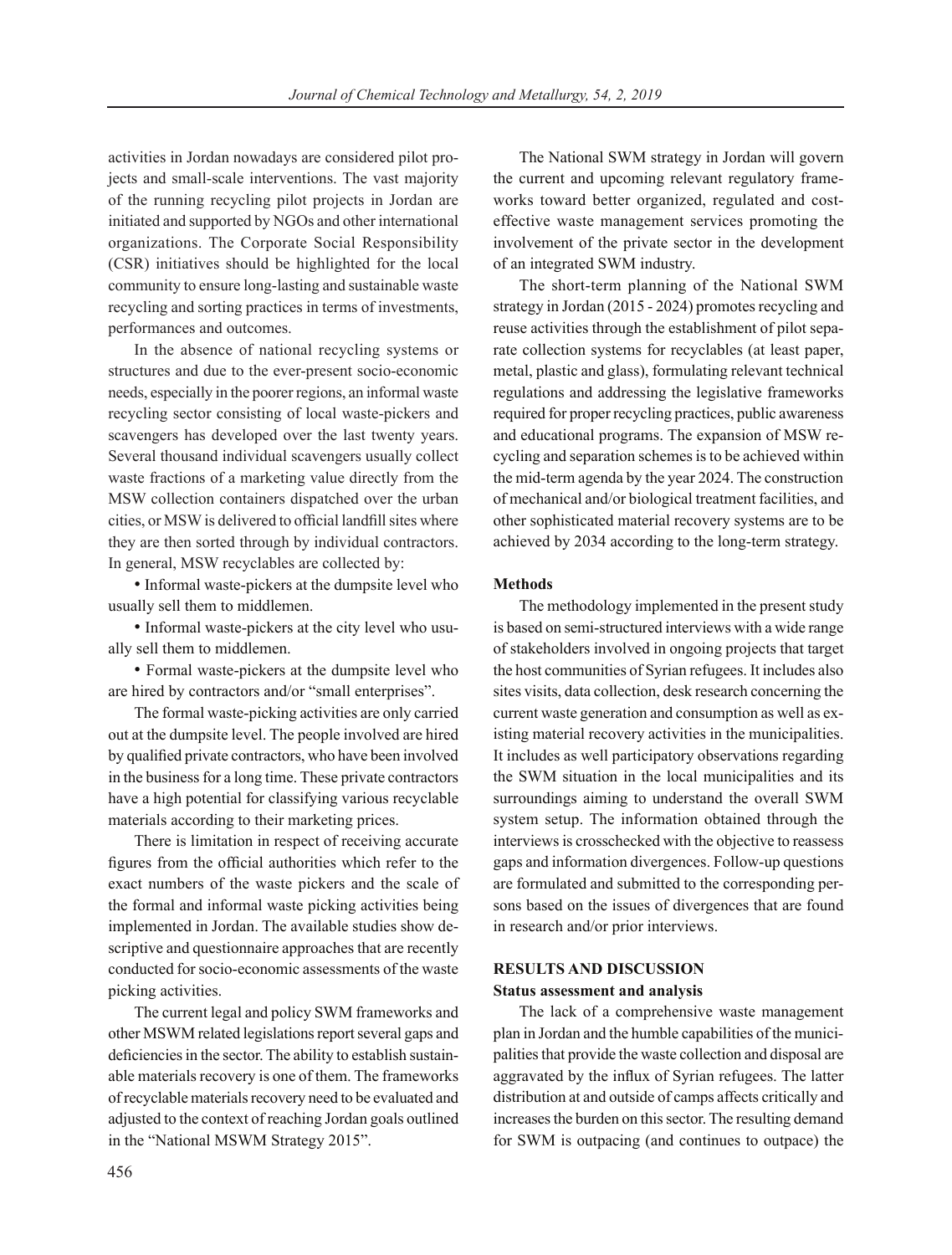activities in Jordan nowadays are considered pilot projects and small-scale interventions. The vast majority of the running recycling pilot projects in Jordan are initiated and supported by NGOs and other international organizations. The Corporate Social Responsibility (CSR) initiatives should be highlighted for the local community to ensure long-lasting and sustainable waste recycling and sorting practices in terms of investments, performances and outcomes.

In the absence of national recycling systems or structures and due to the ever-present socio-economic needs, especially in the poorer regions, an informal waste recycling sector consisting of local waste-pickers and scavengers has developed over the last twenty years. Several thousand individual scavengers usually collect waste fractions of a marketing value directly from the MSW collection containers dispatched over the urban cities, or MSW is delivered to official landfill sites where they are then sorted through by individual contractors. In general, MSW recyclables are collected by:

• Informal waste-pickers at the dumpsite level who usually sell them to middlemen.

• Informal waste-pickers at the city level who usually sell them to middlemen.

• Formal waste-pickers at the dumpsite level who are hired by contractors and/or "small enterprises".

The formal waste-picking activities are only carried out at the dumpsite level. The people involved are hired by qualified private contractors, who have been involved in the business for a long time. These private contractors have a high potential for classifying various recyclable materials according to their marketing prices.

There is limitation in respect of receiving accurate figures from the official authorities which refer to the exact numbers of the waste pickers and the scale of the formal and informal waste picking activities being implemented in Jordan. The available studies show descriptive and questionnaire approaches that are recently conducted for socio-economic assessments of the waste picking activities.

The current legal and policy SWM frameworks and other MSWM related legislations report several gaps and deficiencies in the sector. The ability to establish sustainable materials recovery is one of them. The frameworks of recyclable materials recovery need to be evaluated and adjusted to the context of reaching Jordan goals outlined in the "National MSWM Strategy 2015".

The National SWM strategy in Jordan will govern the current and upcoming relevant regulatory frameworks toward better organized, regulated and costeffective waste management services promoting the involvement of the private sector in the development of an integrated SWM industry.

The short-term planning of the National SWM strategy in Jordan (2015 - 2024) promotes recycling and reuse activities through the establishment of pilot separate collection systems for recyclables (at least paper, metal, plastic and glass), formulating relevant technical regulations and addressing the legislative frameworks required for proper recycling practices, public awareness and educational programs. The expansion of MSW recycling and separation schemes is to be achieved within the mid-term agenda by the year 2024. The construction of mechanical and/or biological treatment facilities, and other sophisticated material recovery systems are to be achieved by 2034 according to the long-term strategy.

### **Methods**

The methodology implemented in the present study is based on semi-structured interviews with a wide range of stakeholders involved in ongoing projects that target the host communities of Syrian refugees. It includes also sites visits, data collection, desk research concerning the current waste generation and consumption as well as existing material recovery activities in the municipalities. It includes as well participatory observations regarding the SWM situation in the local municipalities and its surroundings aiming to understand the overall SWM system setup. The information obtained through the interviews is crosschecked with the objective to reassess gaps and information divergences. Follow-up questions are formulated and submitted to the corresponding persons based on the issues of divergences that are found in research and/or prior interviews.

# **RESULTS AND DISCUSSION**

# **Status assessment and analysis**

The lack of a comprehensive waste management plan in Jordan and the humble capabilities of the municipalities that provide the waste collection and disposal are aggravated by the influx of Syrian refugees. The latter distribution at and outside of camps affects critically and increases the burden on this sector. The resulting demand for SWM is outpacing (and continues to outpace) the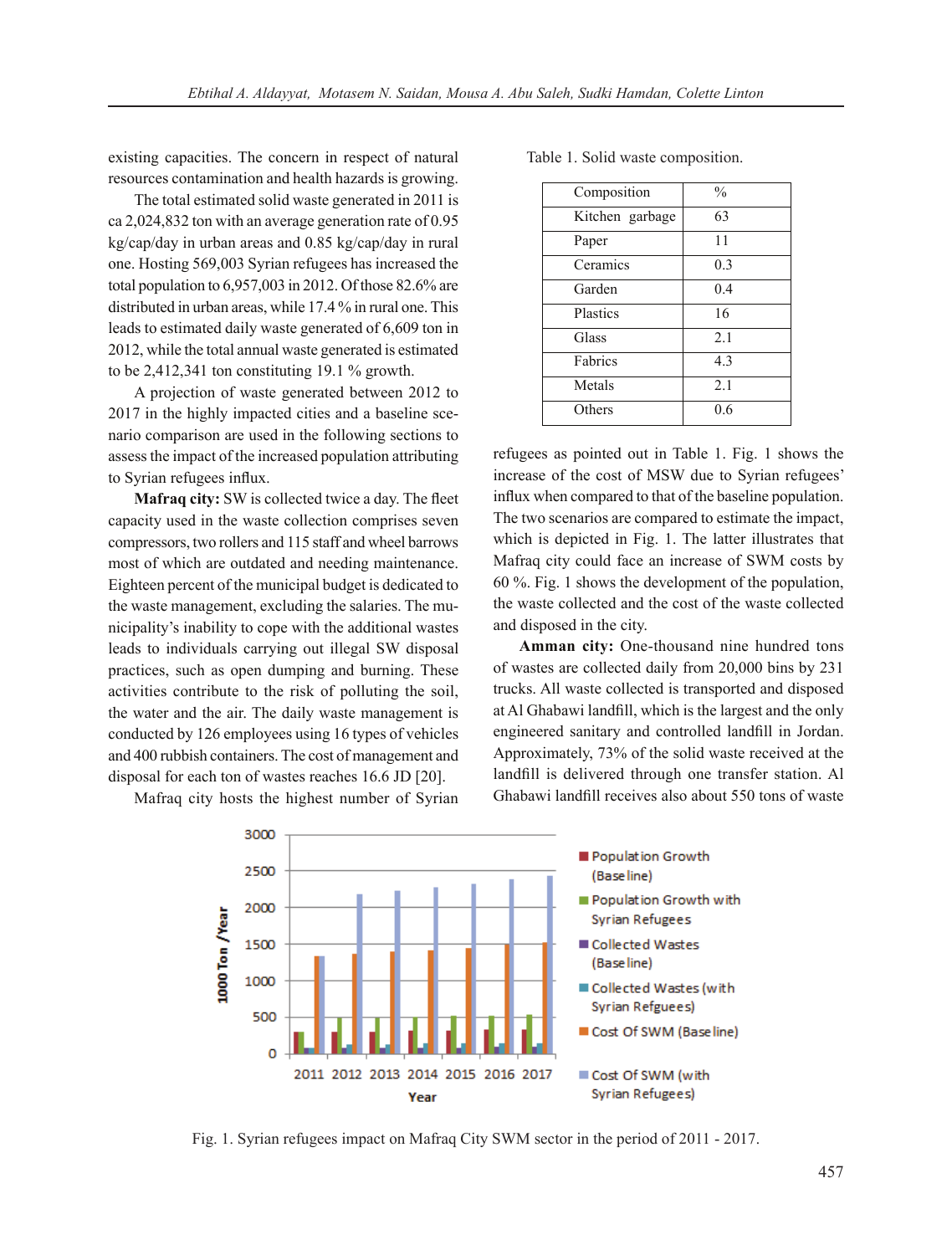existing capacities. The concern in respect of natural resources contamination and health hazards is growing.

The total estimated solid waste generated in 2011 is ca 2,024,832 ton with an average generation rate of 0.95 kg/cap/day in urban areas and 0.85 kg/cap/day in rural one. Hosting 569,003 Syrian refugees has increased the total population to 6,957,003 in 2012. Of those 82.6% are distributed in urban areas, while 17.4 % in rural one. This leads to estimated daily waste generated of 6,609 ton in 2012, while the total annual waste generated is estimated to be 2,412,341 ton constituting 19.1 % growth.

A projection of waste generated between 2012 to 2017 in the highly impacted cities and a baseline scenario comparison are used in the following sections to assess the impact of the increased population attributing to Syrian refugees influx.

**Mafraq city:** SW is collected twice a day. The fleet capacity used in the waste collection comprises seven compressors, two rollers and 115 staff and wheel barrows most of which are outdated and needing maintenance. Eighteen percent of the municipal budget is dedicated to the waste management, excluding the salaries. The municipality's inability to cope with the additional wastes leads to individuals carrying out illegal SW disposal practices, such as open dumping and burning. These activities contribute to the risk of polluting the soil, the water and the air. The daily waste management is conducted by 126 employees using 16 types of vehicles and 400 rubbish containers. The cost of management and disposal for each ton of wastes reaches 16.6 JD [20].

Mafraq city hosts the highest number of Syrian

Table 1. Solid waste composition.

| Composition     | $\frac{0}{0}$ |
|-----------------|---------------|
| Kitchen garbage | 63            |
| Paper           | 11            |
| Ceramics        | 0.3           |
| Garden          | 0.4           |
| Plastics        | 16            |
| Glass           | 2.1           |
| Fabrics         | 4.3           |
| Metals          | 2.1           |
| Others          | 0.6           |

refugees as pointed out in Table 1. Fig. 1 shows the increase of the cost of MSW due to Syrian refugees' influx when compared to that of the baseline population. The two scenarios are compared to estimate the impact, which is depicted in Fig. 1. The latter illustrates that Mafraq city could face an increase of SWM costs by 60 %. Fig. 1 shows the development of the population, the waste collected and the cost of the waste collected and disposed in the city.

**Amman city:** One-thousand nine hundred tons of wastes are collected daily from 20,000 bins by 231 trucks. All waste collected is transported and disposed at Al Ghabawi landfill, which is the largest and the only engineered sanitary and controlled landfill in Jordan. Approximately, 73% of the solid waste received at the landfill is delivered through one transfer station. Al Ghabawi landfill receives also about 550 tons of waste



Fig. 1. Syrian refugees impact on Mafraq City SWM sector in the period of 2011 - 2017.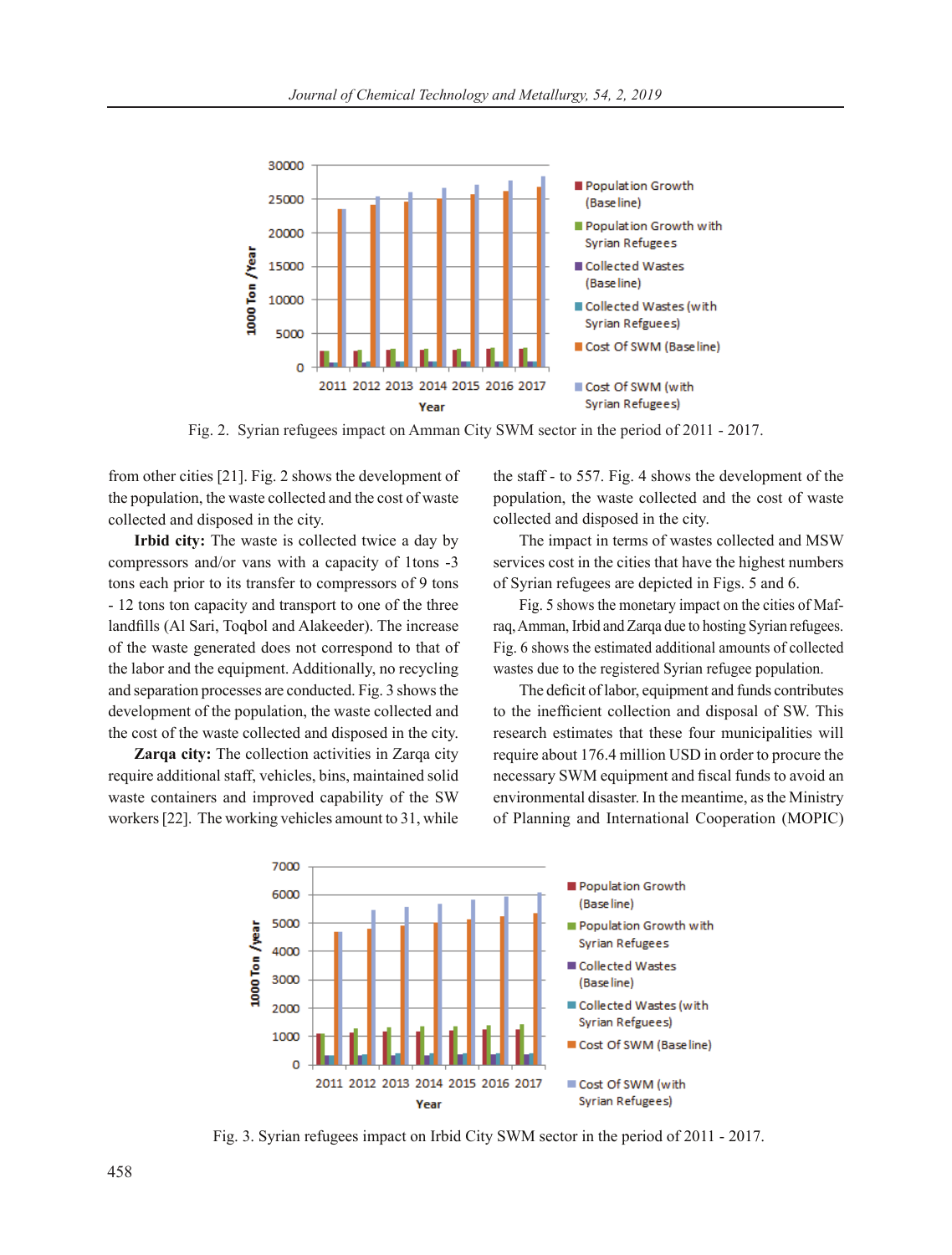

Fig. 2. Syrian refugees impact on Amman City SWM sector in the period of 2011 - 2017.

from other cities [21]. Fig. 2 shows the development of the population, the waste collected and the cost of waste collected and disposed in the city.

**Irbid city:** The waste is collected twice a day by compressors and/or vans with a capacity of 1tons -3 tons each prior to its transfer to compressors of 9 tons - 12 tons ton capacity and transport to one of the three landfills (Al Sari, Toqbol and Alakeeder). The increase of the waste generated does not correspond to that of the labor and the equipment. Additionally, no recycling and separation processes are conducted. Fig. 3 shows the development of the population, the waste collected and the cost of the waste collected and disposed in the city.

**Zarqa city:** The collection activities in Zarqa city require additional staff, vehicles, bins, maintained solid waste containers and improved capability of the SW workers [22]. The working vehicles amount to 31, while the staff - to 557. Fig. 4 shows the development of the population, the waste collected and the cost of waste collected and disposed in the city.

The impact in terms of wastes collected and MSW services cost in the cities that have the highest numbers of Syrian refugees are depicted in Figs. 5 and 6.

Fig. 5 shows the monetary impact on the cities of Mafraq, Amman, Irbid and Zarqa due to hosting Syrian refugees. Fig. 6 shows the estimated additional amounts of collected wastes due to the registered Syrian refugee population.

The deficit of labor, equipment and funds contributes to the inefficient collection and disposal of SW. This research estimates that these four municipalities will require about 176.4 million USD in order to procure the necessary SWM equipment and fiscal funds to avoid an environmental disaster. In the meantime, as the Ministry of Planning and International Cooperation (MOPIC)



Fig. 3. Syrian refugees impact on Irbid City SWM sector in the period of 2011 - 2017.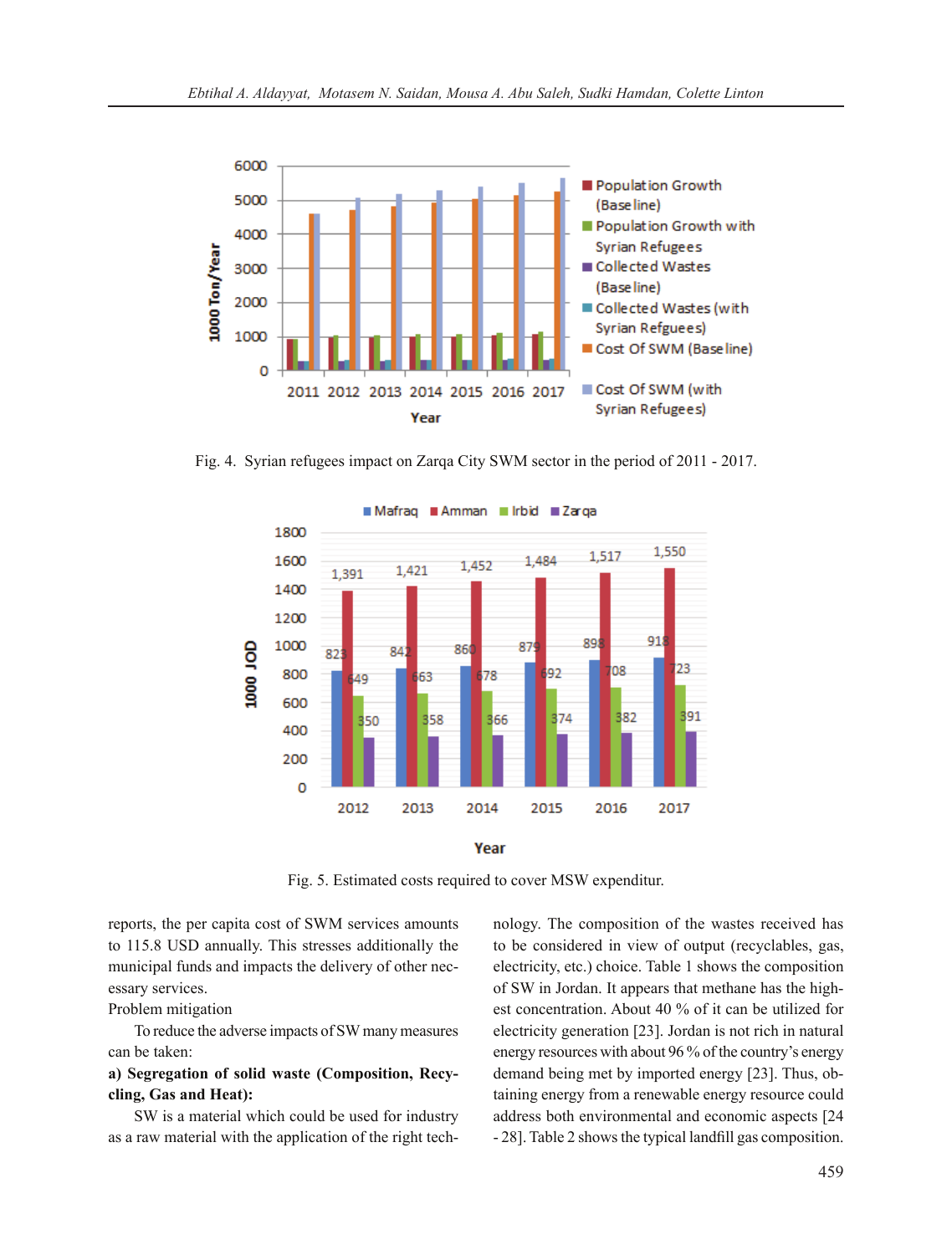

Fig. 4. Syrian refugees impact on Zarqa City SWM sector in the period of 2011 - 2017.





Fig. 5. Estimated costs required to cover MSW expenditur.

reports, the per capita cost of SWM services amounts to 115.8 USD annually. This stresses additionally the municipal funds and impacts the delivery of other necessary services.

### Problem mitigation

To reduce the adverse impacts of SW many measures can be taken:

# **a) Segregation of solid waste (Composition, Recycling, Gas and Heat):**

SW is a material which could be used for industry as a raw material with the application of the right technology. The composition of the wastes received has to be considered in view of output (recyclables, gas, electricity, etc.) choice. Table 1 shows the composition of SW in Jordan. It appears that methane has the highest concentration. About 40 % of it can be utilized for electricity generation [23]. Jordan is not rich in natural energy resources with about 96 % of the country's energy demand being met by imported energy [23]. Thus, obtaining energy from a renewable energy resource could address both environmental and economic aspects [24 - 28]. Table 2 shows the typical landfill gas composition.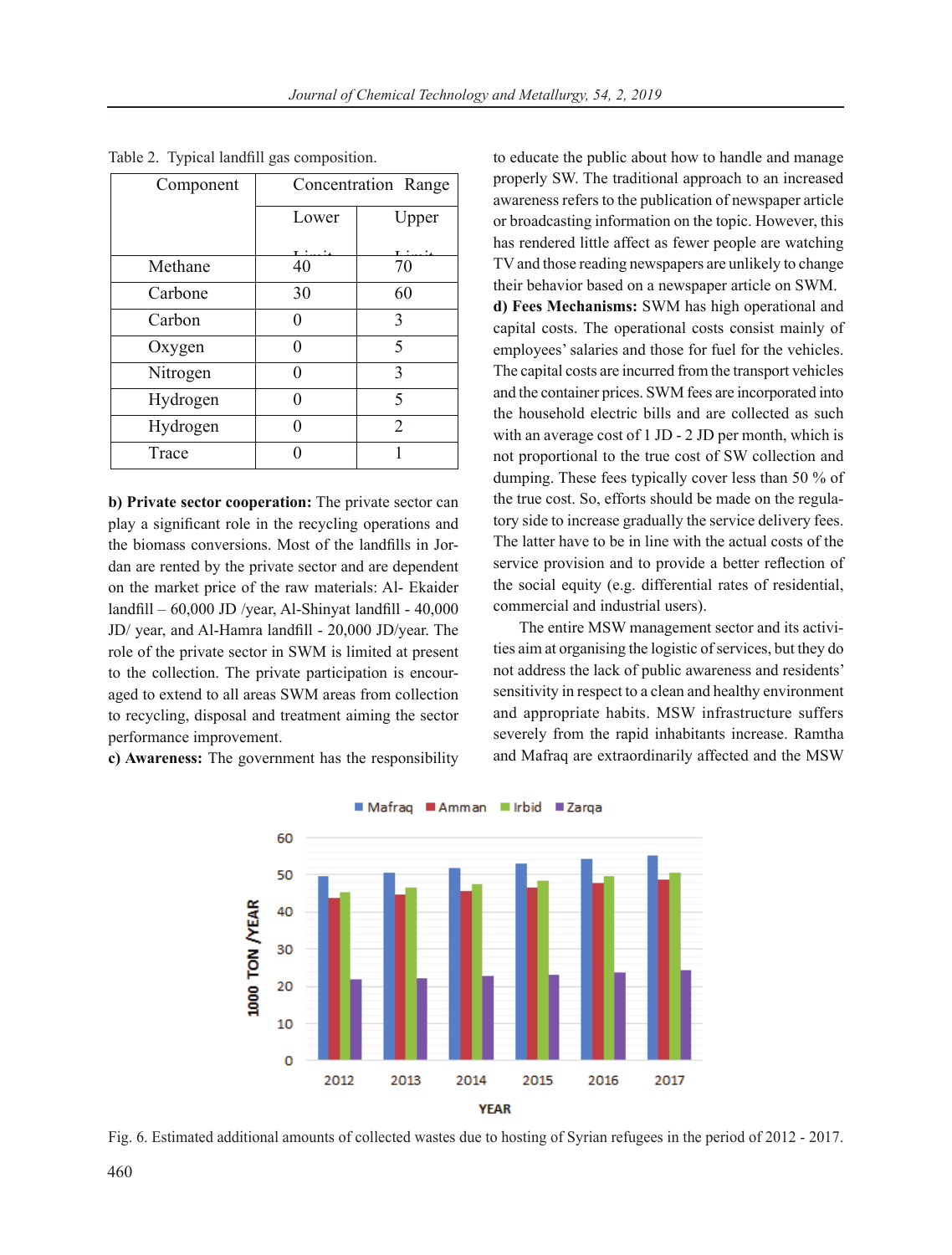| Component | Concentration Range |                |  |
|-----------|---------------------|----------------|--|
|           | Lower               | Upper          |  |
|           |                     |                |  |
| Methane   | 40                  | 70             |  |
| Carbone   | 30                  | 60             |  |
| Carbon    | 0                   | 3              |  |
| Oxygen    | 0                   | 5              |  |
| Nitrogen  | 0                   | 3              |  |
| Hydrogen  | 0                   | 5              |  |
| Hydrogen  | 0                   | $\overline{2}$ |  |
| Trace     |                     |                |  |

Table 2. Typical landfill gas composition.

**b) Private sector cooperation:** The private sector can play a significant role in the recycling operations and the biomass conversions. Most of the landfills in Jordan are rented by the private sector and are dependent on the market price of the raw materials: Al- Ekaider landfill – 60,000 JD /year, Al-Shinyat landfill - 40,000 JD/ year, and Al-Hamra landfill - 20,000 JD/year. The role of the private sector in SWM is limited at present to the collection. The private participation is encouraged to extend to all areas SWM areas from collection to recycling, disposal and treatment aiming the sector performance improvement.

**c) Awareness:** The government has the responsibility

to educate the public about how to handle and manage properly SW. The traditional approach to an increased awareness refers to the publication of newspaper article or broadcasting information on the topic. However, this has rendered little affect as fewer people are watching TV and those reading newspapers are unlikely to change their behavior based on a newspaper article on SWM.

**d) Fees Mechanisms:** SWM has high operational and capital costs. The operational costs consist mainly of employees' salaries and those for fuel for the vehicles. The capital costs are incurred from the transport vehicles and the container prices. SWM fees are incorporated into the household electric bills and are collected as such with an average cost of 1 JD - 2 JD per month, which is not proportional to the true cost of SW collection and dumping. These fees typically cover less than 50 % of the true cost. So, efforts should be made on the regulatory side to increase gradually the service delivery fees. The latter have to be in line with the actual costs of the service provision and to provide a better reflection of the social equity (e.g. differential rates of residential, commercial and industrial users).

The entire MSW management sector and its activities aim at organising the logistic of services, but they do not address the lack of public awareness and residents' sensitivity in respect to a clean and healthy environment and appropriate habits. MSW infrastructure suffers severely from the rapid inhabitants increase. Ramtha and Mafraq are extraordinarily affected and the MSW



Fig. 6. Estimated additional amounts of collected wastes due to hosting of Syrian refugees in the period of 2012 - 2017.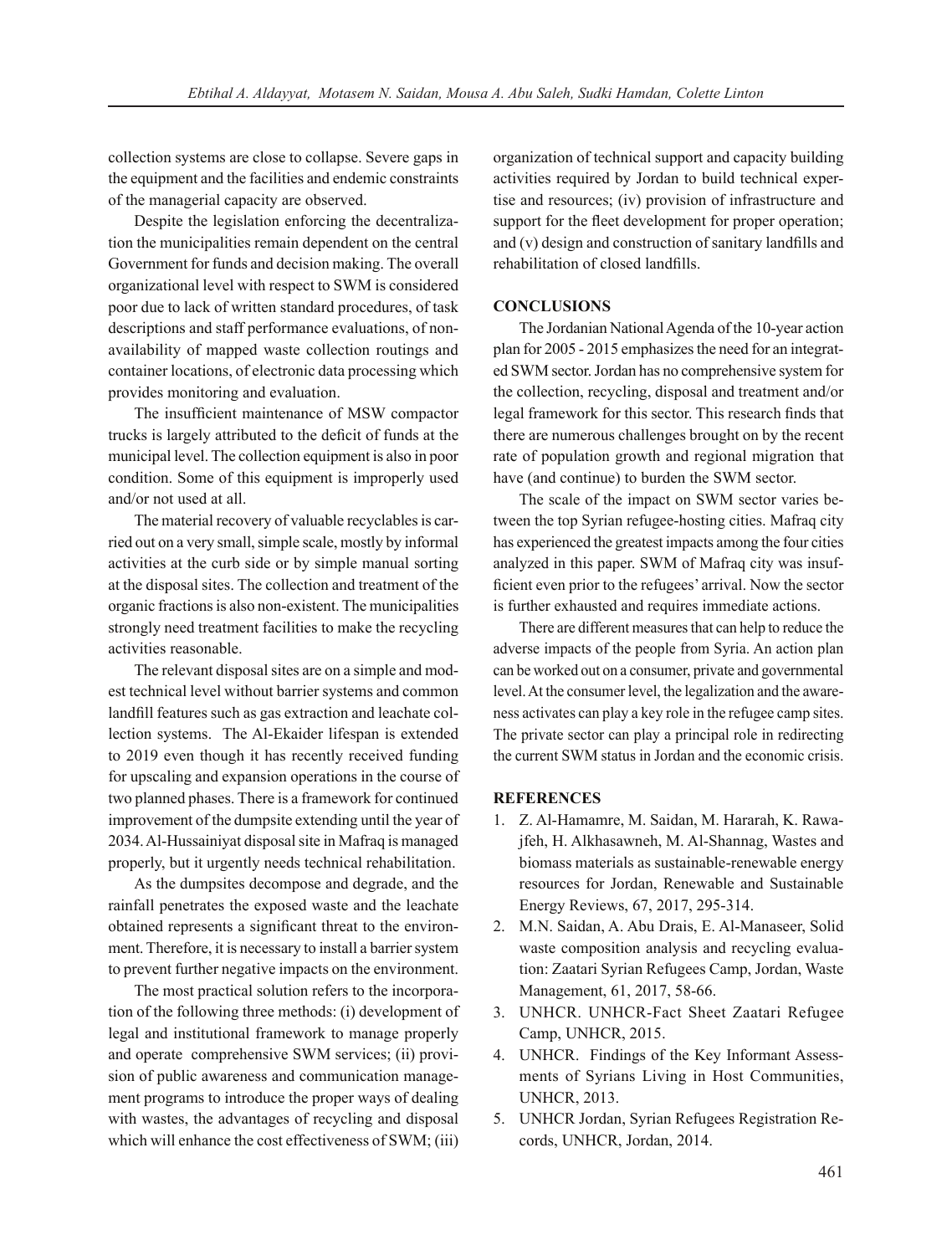collection systems are close to collapse. Severe gaps in the equipment and the facilities and endemic constraints of the managerial capacity are observed.

Despite the legislation enforcing the decentralization the municipalities remain dependent on the central Government for funds and decision making. The overall organizational level with respect to SWM is considered poor due to lack of written standard procedures, of task descriptions and staff performance evaluations, of nonavailability of mapped waste collection routings and container locations, of electronic data processing which provides monitoring and evaluation.

The insufficient maintenance of MSW compactor trucks is largely attributed to the deficit of funds at the municipal level. The collection equipment is also in poor condition. Some of this equipment is improperly used and/or not used at all.

The material recovery of valuable recyclables is carried out on a very small, simple scale, mostly by informal activities at the curb side or by simple manual sorting at the disposal sites. The collection and treatment of the organic fractions is also non-existent. The municipalities strongly need treatment facilities to make the recycling activities reasonable.

The relevant disposal sites are on a simple and modest technical level without barrier systems and common landfill features such as gas extraction and leachate collection systems. The Al-Ekaider lifespan is extended to 2019 even though it has recently received funding for upscaling and expansion operations in the course of two planned phases. There is a framework for continued improvement of the dumpsite extending until the year of 2034. Al-Hussainiyat disposal site in Mafraq is managed properly, but it urgently needs technical rehabilitation.

As the dumpsites decompose and degrade, and the rainfall penetrates the exposed waste and the leachate obtained represents a significant threat to the environment. Therefore, it is necessary to install a barrier system to prevent further negative impacts on the environment.

The most practical solution refers to the incorporation of the following three methods: (i) development of legal and institutional framework to manage properly and operate comprehensive SWM services; (ii) provision of public awareness and communication management programs to introduce the proper ways of dealing with wastes, the advantages of recycling and disposal which will enhance the cost effectiveness of SWM; (iii) organization of technical support and capacity building activities required by Jordan to build technical expertise and resources; (iv) provision of infrastructure and support for the fleet development for proper operation; and (v) design and construction of sanitary landfills and rehabilitation of closed landfills.

### **CONCLUSIONS**

The Jordanian National Agenda of the 10-year action plan for 2005 - 2015 emphasizes the need for an integrated SWM sector. Jordan has no comprehensive system for the collection, recycling, disposal and treatment and/or legal framework for this sector. This research finds that there are numerous challenges brought on by the recent rate of population growth and regional migration that have (and continue) to burden the SWM sector.

The scale of the impact on SWM sector varies between the top Syrian refugee-hosting cities. Mafraq city has experienced the greatest impacts among the four cities analyzed in this paper. SWM of Mafraq city was insufficient even prior to the refugees' arrival. Now the sector is further exhausted and requires immediate actions.

There are different measures that can help to reduce the adverse impacts of the people from Syria. An action plan can be worked out on a consumer, private and governmental level. At the consumer level, the legalization and the awareness activates can play a key role in the refugee camp sites. The private sector can play a principal role in redirecting the current SWM status in Jordan and the economic crisis.

#### **REFERENCES**

- 1. Z. Al-Hamamre, M. Saidan, M. Hararah, K. Rawajfeh, H. Alkhasawneh, M. Al-Shannag, Wastes and biomass materials as sustainable-renewable energy resources for Jordan, Renewable and Sustainable Energy Reviews, 67, 2017, 295-314.
- 2. M.N. Saidan, A. Abu Drais, E. Al-Manaseer, Solid waste composition analysis and recycling evaluation: Zaatari Syrian Refugees Camp, Jordan, Waste Management, 61, 2017, 58-66.
- 3. UNHCR. UNHCR-Fact Sheet Zaatari Refugee Camp, UNHCR, 2015.
- 4. UNHCR. Findings of the Key Informant Assessments of Syrians Living in Host Communities, UNHCR, 2013.
- 5. UNHCR Jordan, Syrian Refugees Registration Records, UNHCR, Jordan, 2014.